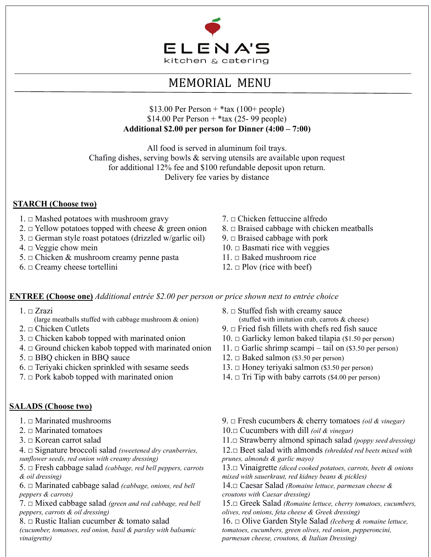

# MEMORIAL MENU

\$13.00 Per Person  $+$  \*tax (100+ people) \$14.00 Per Person +  $*$ tax (25- 99 people) **Additional \$2.00 per person for Dinner (4:00 – 7:00)**

All food is served in aluminum foil trays. Chafing dishes, serving bowls & serving utensils are available upon request for additional 12% fee and \$100 refundable deposit upon return. Delivery fee varies by distance

# **STARCH (Choose two)**

- 1.  $\Box$  Mashed potatoes with mushroom gravy 7.  $\Box$  Chicken fettuccine alfredo
- 2.  $\Box$  Yellow potatoes topped with cheese & green onion 8.  $\Box$  Braised cabbage with chicken meatballs
- 3.  $\Box$  German style roast potatoes (drizzled w/garlic oil) 9.  $\Box$  Braised cabbage with pork
- 
- 5. □ Chicken & mushroom creamy penne pasta  $11. \Box$  Baked mushroom rice
- 6.  $\Box$  Creamy cheese tortellini 12.  $\Box$  Plov (rice with beef)
- 
- 
- 
- $4. \Box \text{ Veggie}$  chow mein  $10. \Box \text{Basmati}$  rice with veggies
	-
	-

## **ENTREE (Choose one)** *Additional entrée \$2.00 per person or price shown next to entrée choice*

- $1.  $\square$  zrazi$ 
	- (large meatballs stuffed with cabbage mushroom & onion)
- 
- 3.  $\Box$  Chicken kabob topped with marinated onion 10.  $\Box$  Garlicky lemon baked tilapia (\$1.50 per person)
- 4.  $\Box$  Ground chicken kabob topped with marinated onion 11.  $\Box$  Garlic shrimp scampi tail on (\$3.50 per person)
- 
- 6. □ Teriyaki chicken sprinkled with sesame seeds  $13. \Box$  Honey teriyaki salmon (\$3.50 per person)
- 7.  $\Box$  Pork kabob topped with marinated onion 14.  $\Box$  Tri Tip with baby carrots (\$4.00 per person)

# **SALADS (Choose two)**

- 
- 
- 
- 4. □ Signature broccoli salad *(sweetened dry cranberries, sunflower seeds, red onion with creamy dressing)*
- 5. □ Fresh cabbage salad *(cabbage, red bell peppers, carrots & oil dressing)*
- 6. □ Marinated cabbage salad *(cabbage, onions, red bell peppers & carrots)*
- 7. □ Mixed cabbage salad *(green and red cabbage, red bell peppers, carrots & oil dressing)*
- 8.  $\Box$  Rustic Italian cucumber & tomato salad

*(cucumber, tomatoes, red onion, basil & parsley with balsamic vinaigrette)*

- $8. \Box$  Stuffed fish with creamy sauce
	- (stuffed with imitation crab, carrots & cheese)
- 2.  $\Box$  Chicken Cutlets 2.  $\Box$  Fried fish fillets with chefs red fish sauce
	-
	-
- 5.  $\Box$  BBQ chicken in BBQ sauce 12.  $\Box$  Baked salmon (\$3.50 per person)
	-
	-
- 1. □ Marinated mushrooms 9. □ Fresh cucumbers & cherry tomatoes *(oil & vinegar)*

2. □ Marinated tomatoes 10.□ Cucumbers with dill *(oil & vinegar)*

3. □ Korean carrot salad 11.□ Strawberry almond spinach salad *(poppy seed dressing)*

12.□ Beet salad with almonds *(shredded red beets mixed with prunes, almonds & garlic mayo)*

13.□ Vinaigrette *(diced cooked potatoes, carrots, beets & onions mixed with sauerkraut, red kidney beans & pickles)*

14.□ Caesar Salad *(Romaine lettuce, parmesan cheese & croutons with Caesar dressing)*

15.□ Greek Salad *(Romaine lettuce, cherry tomatoes, cucumbers, olives, red onions, feta cheese & Greek dressing)*

16. □ Olive Garden Style Salad *(Iceberg & romaine lettuce, tomatoes, cucumbers, green olives, red onion, pepperoncini, parmesan cheese, croutons, & Italian Dressing)*